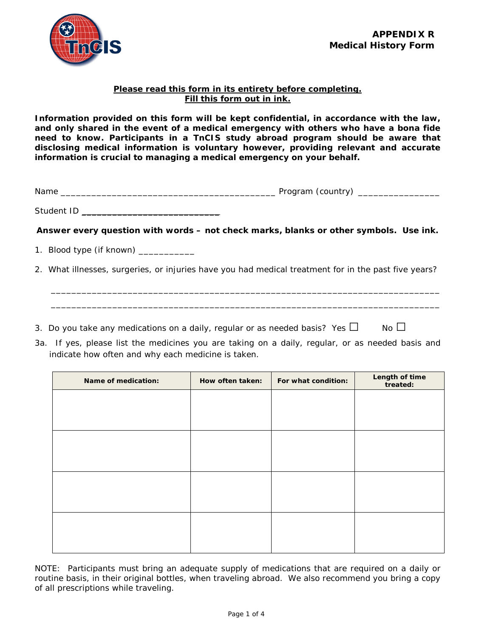## **Please read this form in its entirety before completing. Fill this form out in ink.**

**Information provided on this form will be kept confidential, in accordance with the law, and only shared in the event of a medical emergency with others who have a bona fide need to know. Participants in a TnCIS study abroad program should be aware that disclosing medical information is voluntary however, providing relevant and accurate information is crucial to managing a medical emergency on your behalf.**

Name \_\_\_\_\_\_\_\_\_\_\_\_\_\_\_\_\_\_\_\_\_\_\_\_\_\_\_\_\_\_\_\_\_\_\_\_\_\_\_\_\_\_ Program (country) \_\_\_\_\_\_\_\_\_\_\_\_\_\_\_\_

Student ID \_\_\_\_\_\_\_\_\_\_\_\_\_\_\_\_\_\_\_\_\_\_\_\_\_\_\_

*Answer every question with words – not check marks, blanks or other symbols. Use ink.*

1. Blood type (if known) \_\_\_\_\_\_\_\_\_\_\_

2. What illnesses, surgeries, or injuries have you had medical treatment for in the past five years?

 $\overline{\phantom{a}}$  ,  $\overline{\phantom{a}}$  ,  $\overline{\phantom{a}}$  ,  $\overline{\phantom{a}}$  ,  $\overline{\phantom{a}}$  ,  $\overline{\phantom{a}}$  ,  $\overline{\phantom{a}}$  ,  $\overline{\phantom{a}}$  ,  $\overline{\phantom{a}}$  ,  $\overline{\phantom{a}}$  ,  $\overline{\phantom{a}}$  ,  $\overline{\phantom{a}}$  ,  $\overline{\phantom{a}}$  ,  $\overline{\phantom{a}}$  ,  $\overline{\phantom{a}}$  ,  $\overline{\phantom{a}}$  $\overline{\phantom{a}}$  , and the contribution of the contribution of the contribution of the contribution of the contribution of the contribution of the contribution of the contribution of the contribution of the contribution of the

3. Do you take any medications on a daily, regular or as needed basis? Yes  $\Box$  No  $\Box$ 

3a. If yes, please list the medicines you are taking on a daily, regular, or as needed basis and indicate how often and why each medicine is taken.

| Name of medication: | How often taken: | For what condition: | Length of time<br>treated: |
|---------------------|------------------|---------------------|----------------------------|
|                     |                  |                     |                            |
|                     |                  |                     |                            |
|                     |                  |                     |                            |
|                     |                  |                     |                            |
|                     |                  |                     |                            |
|                     |                  |                     |                            |
|                     |                  |                     |                            |
|                     |                  |                     |                            |

NOTE: Participants must bring an adequate supply of medications that are required on a daily or routine basis, in their original bottles, when traveling abroad. We also recommend you bring a copy of all prescriptions while traveling.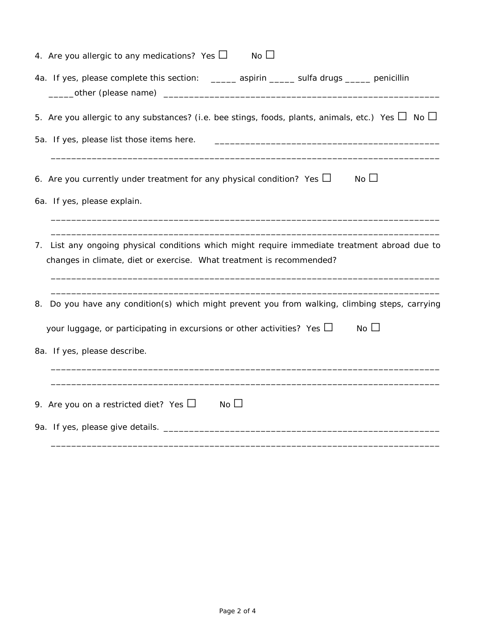| 4. Are you allergic to any medications? Yes $\Box$<br>$No$ $\Box$                                                                                                     |
|-----------------------------------------------------------------------------------------------------------------------------------------------------------------------|
| 4a. If yes, please complete this section: _____ aspirin _____ sulfa drugs ____ penicillin                                                                             |
| 5. Are you allergic to any substances? (i.e. bee stings, foods, plants, animals, etc.) Yes $\Box$ No $\Box$                                                           |
| 5a. If yes, please list those items here.                                                                                                                             |
| $No$ $\Box$<br>6. Are you currently under treatment for any physical condition? Yes $\Box$                                                                            |
| 6a. If yes, please explain.                                                                                                                                           |
| 7. List any ongoing physical conditions which might require immediate treatment abroad due to<br>changes in climate, diet or exercise. What treatment is recommended? |
| Do you have any condition(s) which might prevent you from walking, climbing steps, carrying<br>8.                                                                     |
| $No$ $\Box$<br>your luggage, or participating in excursions or other activities? Yes $\Box$                                                                           |
| 8a. If yes, please describe.                                                                                                                                          |
|                                                                                                                                                                       |
| No $\Box$<br>9. Are you on a restricted diet? Yes $\Box$                                                                                                              |
| 9a. If yes, please give details. _______                                                                                                                              |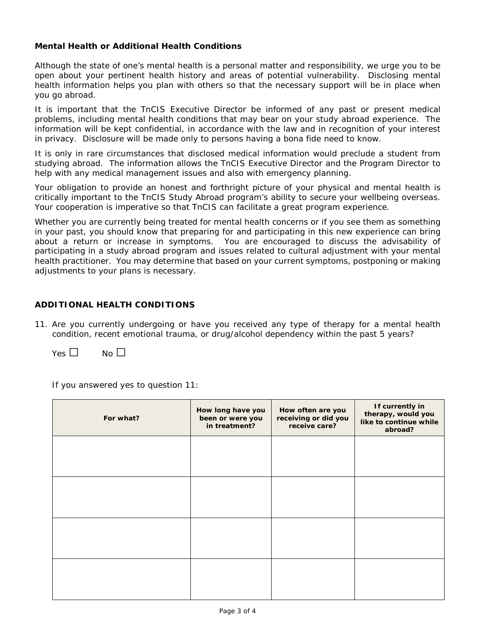## **Mental Health or Additional Health Conditions**

Although the state of one's mental health is a personal matter and responsibility, we urge you to be open about your pertinent health history and areas of potential vulnerability. Disclosing mental health information helps you plan with others so that the necessary support will be in place when you go abroad.

It is important that the TnCIS Executive Director be informed of any past or present medical problems, including mental health conditions that may bear on your study abroad experience. The information will be kept confidential, in accordance with the law and in recognition of your interest in privacy. Disclosure will be made only to persons having a bona fide need to know.

It is only in rare circumstances that disclosed medical information would preclude a student from studying abroad. The information allows the TnCIS Executive Director and the Program Director to help with any medical management issues and also with emergency planning.

Your obligation to provide an honest and forthright picture of your physical and mental health is critically important to the TnCIS Study Abroad program's ability to secure your wellbeing overseas. Your cooperation is imperative so that TnCIS can facilitate a great program experience.

Whether you are currently being treated for mental health concerns or if you see them as something in your past, you should know that preparing for and participating in this new experience can bring about a return or increase in symptoms. You are encouraged to discuss the advisability of participating in a study abroad program and issues related to cultural adjustment with your mental health practitioner. You may determine that based on your current symptoms, postponing or making adjustments to your plans is necessary.

## **ADDITIONAL HEALTH CONDITIONS**

11. Are you currently undergoing or have you received any type of therapy for a mental health condition, recent emotional trauma, or drug/alcohol dependency within the past 5 years?

 $Yes \Box \qquad No \Box$ 

If you answered yes to question 11:

| For what? | How long have you<br>been or were you<br>in treatment? | How often are you<br>receiving or did you<br>receive care? | If currently in<br>therapy, would you<br>like to continue while<br>abroad? |
|-----------|--------------------------------------------------------|------------------------------------------------------------|----------------------------------------------------------------------------|
|           |                                                        |                                                            |                                                                            |
|           |                                                        |                                                            |                                                                            |
|           |                                                        |                                                            |                                                                            |
|           |                                                        |                                                            |                                                                            |